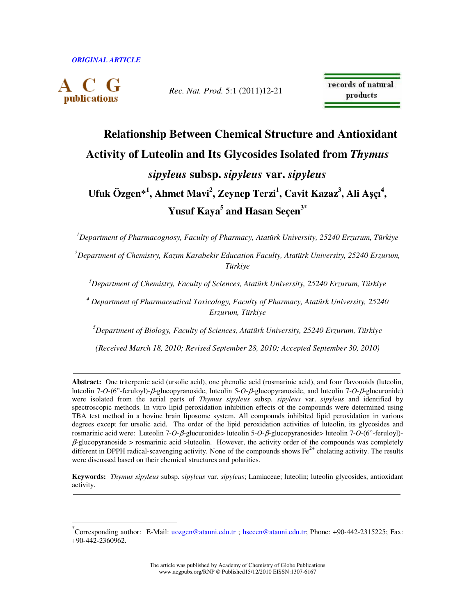publications

 $\overline{a}$ 

*Rec. Nat. Prod.* 5:1 (2011)12-21

records of natural products

# **Relationship Between Chemical Structure and Antioxidant Activity of Luteolin and Its Glycosides Isolated from** *Thymus sipyleus* **subsp.** *sipyleus* **var.** *sipyleus*  **Ufuk Özgen\*<sup>1</sup> , Ahmet Mavi<sup>2</sup> , Zeynep Terzi<sup>1</sup> , Cavit Kazaz<sup>3</sup> , Ali A**ş**çı<sup>4</sup> ,**

**Yusuf Kaya<sup>5</sup> and Hasan Seçen3\***

*<sup>1</sup>Department of Pharmacognosy, Faculty of Pharmacy, Atatürk University, 25240 Erzurum, Türkiye* 

*<sup>2</sup>Department of Chemistry, Kazım Karabekir Education Faculty, Atatürk University, 25240 Erzurum, Türkiye* 

*<sup>3</sup>Department of Chemistry, Faculty of Sciences, Atatürk University, 25240 Erzurum, Türkiye* 

*4 Department of Pharmaceutical Toxicology, Faculty of Pharmacy, Atatürk University, 25240 Erzurum, Türkiye* 

*<sup>5</sup>Department of Biology, Faculty of Sciences, Atatürk University, 25240 Erzurum, Türkiye* 

*(Received March 18, 2010; Revised September 28, 2010; Accepted September 30, 2010)* 

**Abstract:** One triterpenic acid (ursolic acid), one phenolic acid (rosmarinic acid), and four flavonoids (luteolin, luteolin 7-*O*-(6"-feruloyl)-β-glucopyranoside, luteolin 5-*O*-β-glucopyranoside, and luteolin 7-*O*-β-glucuronide) were isolated from the aerial parts of *Thymus sipyleus* subsp. *sipyleus* var. *sipyleus* and identified by spectroscopic methods. In vitro lipid peroxidation inhibition effects of the compounds were determined using TBA test method in a bovine brain liposome system. All compounds inhibited lipid peroxidation in various degrees except for ursolic acid. The order of the lipid peroxidation activities of luteolin, its glycosides and rosmarinic acid were: Luteolin 7-*O*-β-glucuronide> luteolin 5-*O*-β-glucopyranoside> luteolin 7-*O*-(6"-feruloyl)-  $\beta$ -glucopyranoside > rosmarinic acid >luteolin. However, the activity order of the compounds was completely different in DPPH radical-scavenging activity. None of the compounds shows  $Fe^{2+}$  chelating activity. The results were discussed based on their chemical structures and polarities.

**Keywords:** *Thymus sipyleus* subsp. *sipyleus* var. *sipyleus*; Lamiaceae; luteolin; luteolin glycosides, antioxidant activity.

<sup>\*&</sup>lt;br>Corresponding author: E-Mail: uozgen@atauni.edu.tr ; hsecen@atauni.edu.tr; Phone: +90-442-2315225; Fax: +90-442-2360962.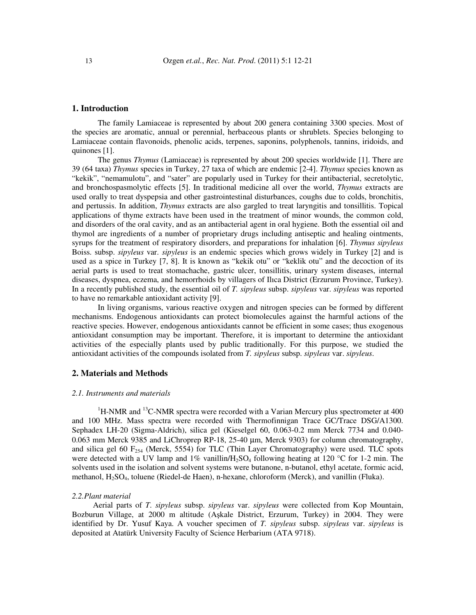#### **1. Introduction**

The family Lamiaceae is represented by about 200 genera containing 3300 species. Most of the species are aromatic, annual or perennial, herbaceous plants or shrublets. Species belonging to Lamiaceae contain flavonoids, phenolic acids, terpenes, saponins, polyphenols, tannins, iridoids, and quinones [1].

The genus *Thymus* (Lamiaceae) is represented by about 200 species worldwide [1]. There are 39 (64 taxa) *Thymus* species in Turkey, 27 taxa of which are endemic [2-4]. *Thymus* species known as "kekik", "nemamulotu", and "sater" are popularly used in Turkey for their antibacterial, secretolytic, and bronchospasmolytic effects [5]. In traditional medicine all over the world, *Thymus* extracts are used orally to treat dyspepsia and other gastrointestinal disturbances, coughs due to colds, bronchitis, and pertussis. In addition, *Thymus* extracts are also gargled to treat laryngitis and tonsillitis. Topical applications of thyme extracts have been used in the treatment of minor wounds, the common cold, and disorders of the oral cavity, and as an antibacterial agent in oral hygiene. Both the essential oil and thymol are ingredients of a number of proprietary drugs including antiseptic and healing ointments, syrups for the treatment of respiratory disorders, and preparations for inhalation [6]. *Thymus sipyleus* Boiss. subsp. *sipyleus* var. *sipyleus* is an endemic species which grows widely in Turkey [2] and is used as a spice in Turkey [7, 8]. It is known as "kekik otu" or "keklik otu" and the decoction of its aerial parts is used to treat stomachache, gastric ulcer, tonsillitis, urinary system diseases, internal diseases, dyspnea, eczema, and hemorrhoids by villagers of Ilıca District (Erzurum Province, Turkey). In a recently published study, the essential oil of *T. sipyleus* subsp. *sipyleus* var. *sipyleus* was reported to have no remarkable antioxidant activity [9].

In living organisms, various reactive oxygen and nitrogen species can be formed by different mechanisms. Endogenous antioxidants can protect biomolecules against the harmful actions of the reactive species. However, endogenous antioxidants cannot be efficient in some cases; thus exogenous antioxidant consumption may be important. Therefore, it is important to determine the antioxidant activities of the especially plants used by public traditionally. For this purpose, we studied the antioxidant activities of the compounds isolated from *T. sipyleus* subsp. *sipyleus* var. *sipyleus*.

## **2. Materials and Methods**

#### *2.1. Instruments and materials*

 $1H-MMR$  and  $13C-NMR$  spectra were recorded with a Varian Mercury plus spectrometer at 400 and 100 MHz. Mass spectra were recorded with Thermofinnigan Trace GC/Trace DSG/A1300. Sephadex LH-20 (Sigma-Aldrich), silica gel (Kieselgel 60, 0.063-0.2 mm Merck 7734 and 0.040- 0.063 mm Merck 9385 and LiChroprep RP-18, 25-40 µm, Merck 9303) for column chromatography, and silica gel 60  $F_{254}$  (Merck, 5554) for TLC (Thin Layer Chromatography) were used. TLC spots were detected with a UV lamp and  $1\%$  vanillin/H<sub>2</sub>SO<sub>4</sub> following heating at 120 °C for 1-2 min. The solvents used in the isolation and solvent systems were butanone, n-butanol, ethyl acetate, formic acid, methanol, H2SO4, toluene (Riedel-de Haen), n-hexane, chloroform (Merck), and vanillin (Fluka).

#### *2.2.Plant material*

 Aerial parts of *T*. *sipyleus* subsp. *sipyleus* var. *sipyleus* were collected from Kop Mountain, Bozburun Village, at 2000 m altitude (Aşkale District, Erzurum, Turkey) in 2004. They were identified by Dr. Yusuf Kaya. A voucher specimen of *T. sipyleus* subsp. *sipyleus* var. *sipyleus* is deposited at Atatürk University Faculty of Science Herbarium (ATA 9718).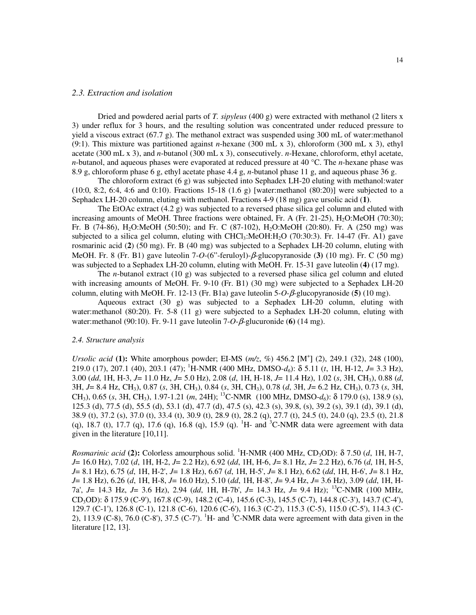#### *2.3. Extraction and isolation*

Dried and powdered aerial parts of *T. sipyleus* (400 g) were extracted with methanol (2 liters x 3) under reflux for 3 hours, and the resulting solution was concentrated under reduced pressure to yield a viscous extract (67.7 g). The methanol extract was suspended using 300 mL of water:methanol (9:1). This mixture was partitioned against *n*-hexane (300 mL x 3), chloroform (300 mL x 3), ethyl acetate (300 mL x 3), and *n*-butanol (300 mL x 3), consecutively. *n*-Hexane, chloroform, ethyl acetate, *n*-butanol, and aqueous phases were evaporated at reduced pressure at 40 °C. The *n*-hexane phase was 8.9 g, chloroform phase 6 g, ethyl acetate phase 4.4 g, *n*-butanol phase 11 g, and aqueous phase 36 g.

The chloroform extract (6 g) was subjected into Sephadex LH-20 eluting with methanol:water  $(10:0, 8:2, 6:4, 4:6 \text{ and } 0:10)$ . Fractions 15-18  $(1.6 \text{ g})$  [water:methanol  $(80:20)$ ] were subjected to a Sephadex LH-20 column, eluting with methanol. Fractions 4-9 (18 mg) gave ursolic acid (**1)**.

The EtOAc extract  $(4.2 g)$  was subjected to a reversed phase silica gel column and eluted with increasing amounts of MeOH. Three fractions were obtained, Fr. A (Fr. 21-25),  $H<sub>2</sub>$ O:MeOH (70:30); Fr. B (74-86), H<sub>2</sub>O:MeOH (50:50); and Fr. C (87-102), H<sub>2</sub>O:MeOH (20:80). Fr. A (250 mg) was subjected to a silica gel column, eluting with CHCl<sub>3</sub>:MeOH:H<sub>2</sub>O (70:30:3). Fr. 14-47 (Fr. A1) gave rosmarinic acid (**2**) (50 mg). Fr. B (40 mg) was subjected to a Sephadex LH-20 column, eluting with MeOH. Fr. 8 (Fr. B1) gave luteolin 7-*O*-(6"-feruloyl)-β-glucopyranoside (**3)** (10 mg). Fr. C (50 mg) was subjected to a Sephadex LH-20 column, eluting with MeOH. Fr. 15-31 gave luteolin (**4)** (17 mg).

The *n*-butanol extract (10 g) was subjected to a reversed phase silica gel column and eluted with increasing amounts of MeOH. Fr. 9-10 (Fr. B1) (30 mg) were subjected to a Sephadex LH-20 column, eluting with MeOH. Fr. 12-13 (Fr. B1a) gave luteolin 5-*O*-β-glucopyranoside (**5)** (10 mg).

Aqueous extract  $(30 \text{ g})$  was subjected to a Sephadex LH-20 column, eluting with water:methanol (80:20). Fr. 5-8 (11 g) were subjected to a Sephadex LH-20 column, eluting with water:methanol (90:10). Fr. 9-11 gave luteolin 7-*O*-β-glucuronide (**6)** (14 mg).

#### *2.4. Structure analysis*

*Ursolic acid* (1): White amorphous powder; EI-MS ( $m/z$ , %) 456.2 [M<sup>+</sup>] (2), 249.1 (32), 248 (100), 219.0 (17), 207.1 (40), 203.1 (47); <sup>1</sup>H-NMR (400 MHz, DMSO-*d6*): δ 5.11 (*t*, 1H, H-12, *J*= 3.3 Hz), 3.00 (*dd*, 1H, H-3, *J*= 11.0 Hz, *J*= 5.0 Hz), 2.08 (*d*, 1H, H-18, *J*= 11.4 Hz), 1.02 (*s*, 3H, CH3), 0.88 (*d*, 3H, *J*= 8.4 Hz, CH3), 0.87 (*s*, 3H, CH3), 0.84 (*s*, 3H, CH3), 0.78 (*d*, 3H, *J*= 6.2 Hz, CH3), 0.73 (*s*, 3H, CH3), 0.65 (*s*, 3H, CH3), 1.97-1.21 (*m*, 24H); <sup>13</sup>C-NMR (100 MHz, DMSO-*d6*): δ 179.0 (s), 138.9 (s), 125.3 (d), 77.5 (d), 55.5 (d), 53.1 (d), 47.7 (d), 47.5 (s), 42.3 (s), 39.8, (s), 39.2 (s), 39.1 (d), 39.1 (d), 38.9 (t), 37.2 (s), 37.0 (t), 33.4 (t), 30.9 (t), 28.9 (t), 28.2 (q), 27.7 (t), 24.5 (t), 24.0 (q), 23.5 (t), 21.8 (q), 18.7 (t), 17.7 (q), 17.6 (q), 16.8 (q), 15.9 (q). <sup>1</sup>H- and <sup>3</sup>C-NMR data were agreement with data given in the literature [10,11].

*Rosmarinic acid* **(2):** Colorless amourphous solid. <sup>1</sup>H-NMR (400 MHz, CD3OD): δ 7.50 (*d*, 1H, H-7, *J*= 16.0 Hz), 7.02 (*d*, 1H, H-2, *J*= 2.2 Hz), 6.92 (*dd*, 1H, H-6, *J*= 8.1 Hz, *J*= 2.2 Hz), 6.76 (*d*, 1H, H-5, *J*= 8.1 Hz), 6.75 (*d*, 1H, H-2', *J*= 1.8 Hz), 6.67 (*d*, 1H, H-5', *J*= 8.1 Hz), 6.62 (*dd*, 1H, H-6', *J*= 8.1 Hz, *J*= 1.8 Hz), 6.26 (*d*, 1H, H-8, *J*= 16.0 Hz), 5.10 (*dd*, 1H, H-8', *J*= 9.4 Hz, *J*= 3.6 Hz), 3.09 (*dd*, 1H, H-7a', *J*= 14.3 Hz, *J*= 3.6 Hz), 2.94 (*dd*, 1H, H-7b', *J*= 14.3 Hz, *J*= 9.4 Hz); <sup>13</sup>C-NMR (100 MHz, CD3OD): δ 175.9 (C-9'), 167.8 (C-9), 148.2 (C-4), 145.6 (C-3), 145.5 (C-7), 144.8 (C-3'), 143.7 (C-4'), 129.7 (C-1'), 126.8 (C-1), 121.8 (C-6), 120.6 (C-6'), 116.3 (C-2'), 115.3 (C-5), 115.0 (C-5'), 114.3 (C-2), 113.9 (C-8), 76.0 (C-8'), 37.5 (C-7'). <sup>1</sup>H- and <sup>3</sup>C-NMR data were agreement with data given in the literature [12, 13].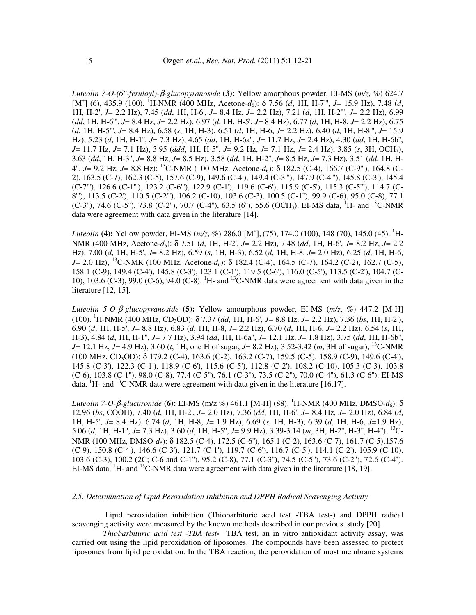*Luteolin 7-O-(6''-feruloyl)-*β*-glucopyranoside* **(3):** Yellow amorphous powder, EI-MS (*m/z*, %) 624.7 [M<sup>+</sup>] (6), 435.9 (100). <sup>1</sup>H-NMR (400 MHz, Acetone-*d*<sub>6</sub>): δ 7.56 (*d*, 1H, H-7"', *J*= 15.9 Hz), 7.48 (*d*, 1H, H-2', *J*= 2.2 Hz), 7.45 (*dd*, 1H, H-6', *J*= 8.4 Hz, *J*= 2.2 Hz), 7.21 (*d*, 1H, H-2''', *J*= 2.2 Hz), 6.99 (*dd*, 1H, H-6''', *J*= 8.4 Hz, *J*= 2.2 Hz), 6.97 (*d*, 1H, H-5', *J*= 8.4 Hz), 6.77 (*d*, 1H, H-8, *J*= 2.2 Hz), 6.75 (*d*, 1H, H-5''', *J*= 8.4 Hz), 6.58 (*s*, 1H, H-3), 6.51 (*d*, 1H, H-6, *J*= 2.2 Hz), 6.40 (*d*, 1H, H-8''', *J*= 15.9 Hz), 5.23 (*d*, 1H, H-1'', *J*= 7.3 Hz), 4.65 (*dd*, 1H, H-6a'', *J*= 11.7 Hz, *J*= 2.4 Hz), 4.30 (*dd*, 1H, H-6b'', *J*= 11.7 Hz, *J*= 7.1 Hz), 3.95 (*ddd*, 1H, H-5'', *J*= 9.2 Hz, *J*= 7.1 Hz, *J*= 2.4 Hz), 3.85 (*s*, 3H, OCH3), 3.63 (*dd*, 1H, H-3'', *J*= 8.8 Hz, *J*= 8.5 Hz), 3.58 (*dd*, 1H, H-2'', *J*= 8.5 Hz, *J*= 7.3 Hz), 3.51 (*dd*, 1H, H-4'', *J*= 9.2 Hz, *J*= 8.8 Hz); <sup>13</sup>C-NMR (100 MHz, Acetone-*d*6): δ 182.5 (C-4), 166.7 (C-9'''), 164.8 (C-2), 163.5 (C-7), 162.3 (C-5), 157.6 (C-9), 149.6 (C-4'), 149.4 (C-3'''), 147.9 (C-4'''), 145.8 (C-3'), 145.4 (C-7'''), 126.6 (C-1'''), 123.2 (C-6'''), 122.9 (C-1'), 119.6 (C-6'), 115.9 (C-5'), 115.3 (C-5'''), 114.7 (C-8"'), 113.5 (C-2'), 110.5 (C-2'''), 106.2 (C-10), 103.6 (C-3), 100.5 (C-1''), 99.9 (C-6), 95.0 (C-8), 77.1  $(C-3'')$ , 74.6  $(C-5'')$ , 73.8  $(C-2'')$ , 70.7  $(C-4'')$ , 63.5  $(6'')$ , 55.6  $(OCH<sub>3</sub>)$ . EI-MS data, <sup>1</sup>H- and <sup>13</sup>C-NMR data were agreement with data given in the literature [14].

*Luteolin* (4): Yellow powder, EI-MS (*m/z*, %) 286.0 [M<sup>+</sup>], (75), 174.0 (100), 148 (70), 145.0 (45). <sup>1</sup>H-NMR (400 MHz, Acetone-*d*6): δ 7.51 (*d*, 1H, H-2', *J*= 2.2 Hz), 7.48 (*dd*, 1H, H-6', *J*= 8.2 Hz, *J*= 2.2 Hz), 7.00 (*d*, 1H, H-5', *J*= 8.2 Hz), 6.59 (*s*, 1H, H-3), 6.52 (*d*, 1H, H-8, *J*= 2.0 Hz), 6.25 (*d*, 1H, H-6, *J*= 2.0 Hz), <sup>13</sup>C-NMR (100 MHz, Acetone-*d*<sub>6</sub>): δ 182.4 (C-4), 164.5 (C-7), 164.2 (C-2), 162.7 (C-5), 158.1 (C-9), 149.4 (C-4'), 145.8 (C-3'), 123.1 (C-1'), 119.5 (C-6'), 116.0 (C-5'), 113.5 (C-2'), 104.7 (C-10), 103.6 (C-3), 99.0 (C-6), 94.0 (C-8). <sup>1</sup>H- and <sup>13</sup>C-NMR data were agreement with data given in the literature [12, 15].

*Luteolin 5-O-*β*-glucopyranoside* **(5):** Yellow amourphous powder, EI-MS (*m/z*, %) 447.2 [M-H] (100). <sup>1</sup>H-NMR (400 MHz, CD3OD): δ 7.37 (*dd*, 1H, H-6', *J*= 8.8 Hz, *J*= 2.2 Hz), 7.36 (*bs*, 1H, H-2'), 6.90 (*d*, 1H, H-5', *J*= 8.8 Hz), 6.83 (*d*, 1H, H-8, *J*= 2.2 Hz), 6.70 (*d*, 1H, H-6, *J*= 2.2 Hz), 6.54 (*s*, 1H, H-3), 4.84 (*d*, 1H, H-1'', *J*= 7.7 Hz), 3.94 (*dd*, 1H, H-6a'', *J*= 12.1 Hz, *J*= 1.8 Hz), 3.75 (*dd*, 1H, H-6b'', *J*= 12.1 Hz, *J*= 4.9 Hz), 3.60 (*t*, 1H, one H of sugar, *J*= 8.2 Hz), 3.52-3.42 (*m*, 3H of sugar); <sup>13</sup>C-NMR (100 MHz, CD3OD): δ 179.2 (C-4), 163.6 (C-2), 163.2 (C-7), 159.5 (C-5), 158.9 (C-9), 149.6 (C-4'), 145.8 (C-3'), 122.3 (C-1'), 118.9 (C-6'), 115.6 (C-5'), 112.8 (C-2'), 108.2 (C-10), 105.3 (C-3), 103.8 (C-6), 103.8 (C-1''), 98.0 (C-8), 77.4 (C-5''), 76.1 (C-3''), 73.5 (C-2''), 70.0 (C-4''), 61.3 (C-6''). EI-MS data,  ${}^{1}$ H- and  ${}^{13}$ C-NMR data were agreement with data given in the literature [16,17].

*Luteolin 7-O-β-glucuronide* (6): EI-MS (m/z %) 461.1 [M-H] (88). <sup>1</sup>H-NMR (400 MHz, DMSO-*d*6): δ 12.96 (*bs*, COOH), 7.40 (*d*, 1H, H-2', *J*= 2.0 Hz), 7.36 (*dd*, 1H, H-6', *J*= 8.4 Hz, *J*= 2.0 Hz), 6.84 (*d*, 1H, H-5', *J*= 8.4 Hz), 6.74 (*d*, 1H, H-8, *J*= 1.9 Hz), 6.69 (*s*, 1H, H-3), 6.39 (*d*, 1H, H-6, *J*=1.9 Hz), 5.06 (*d*, 1H, H-1'', *J*= 7.3 Hz), 3.60 (*d*, 1H, H-5'', *J*= 9.9 Hz), 3.39-3.14 (*m*, 3H, H-2'', H-3'', H-4''); <sup>13</sup>C-NMR (100 MHz, DMSO-*d*6): δ 182.5 (C-4), 172.5 (C-6''), 165.1 (C-2), 163.6 (C-7), 161.7 (C-5),157.6 (C-9), 150.8 (C-4'), 146.6 (C-3'), 121.7 (C-1'), 119.7 (C-6'), 116.7 (C-5'), 114.1 (C-2'), 105.9 (C-10), 103.6 (C-3), 100.2 (2C; C-6 and C-1''), 95.2 (C-8), 77.1 (C-3''), 74.5 (C-5''), 73.6 (C-2''), 72.6 (C-4''). EI-MS data, <sup>1</sup>H- and <sup>13</sup>C-NMR data were agreement with data given in the literature [18, 19].

## *2.5. Determination of Lipid Peroxidation Inhibition and DPPH Radical Scavenging Activity*

 Lipid peroxidation inhibition (Thiobarbituric acid test -TBA test-**)** and DPPH radical scavenging activity were measured by the known methods described in our previous study [20].

*Thiobarbituric acid test -TBA test***-** TBA test, an in vitro antioxidant activity assay, was carried out using the lipid peroxidation of liposomes. The compounds have been assessed to protect liposomes from lipid peroxidation. In the TBA reaction, the peroxidation of most membrane systems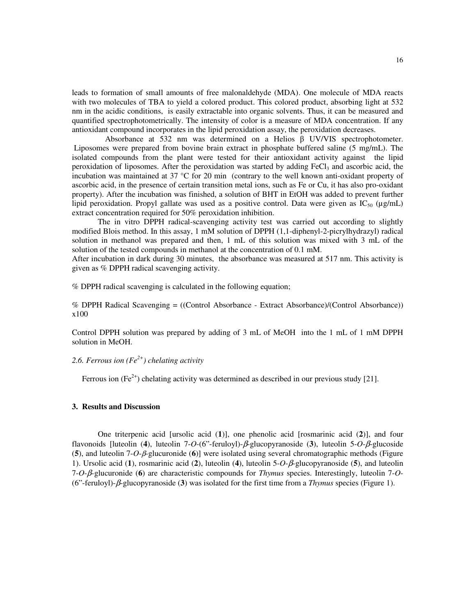leads to formation of small amounts of free malonaldehyde (MDA). One molecule of MDA reacts with two molecules of TBA to yield a colored product. This colored product, absorbing light at 532 nm in the acidic conditions, is easily extractable into organic solvents. Thus, it can be measured and quantified spectrophotometrically. The intensity of color is a measure of MDA concentration. If any antioxidant compound incorporates in the lipid peroxidation assay, the peroxidation decreases.

 Absorbance at 532 nm was determined on a Helios β UV/VIS spectrophotometer. Liposomes were prepared from bovine brain extract in phosphate buffered saline (5 mg/mL). The isolated compounds from the plant were tested for their antioxidant activity against the lipid peroxidation of liposomes. After the peroxidation was started by adding  $FeCl<sub>3</sub>$  and ascorbic acid, the incubation was maintained at 37 °C for 20 min (contrary to the well known anti-oxidant property of ascorbic acid, in the presence of certain transition metal ions, such as Fe or Cu, it has also pro-oxidant property). After the incubation was finished, a solution of BHT in EtOH was added to prevent further lipid peroxidation. Propyl gallate was used as a positive control. Data were given as  $IC_{50}$  ( $\mu$ g/mL) extract concentration required for 50% peroxidation inhibition.

The in vitro DPPH radical-scavenging activity test was carried out according to slightly modified Blois method. In this assay, 1 mM solution of DPPH (1,1-diphenyl-2-picrylhydrazyl) radical solution in methanol was prepared and then, 1 mL of this solution was mixed with 3 mL of the solution of the tested compounds in methanol at the concentration of 0.1 mM.

After incubation in dark during 30 minutes, the absorbance was measured at 517 nm. This activity is given as % DPPH radical scavenging activity.

% DPPH radical scavenging is calculated in the following equation;

% DPPH Radical Scavenging = ((Control Absorbance - Extract Absorbance)/(Control Absorbance)) x100

Control DPPH solution was prepared by adding of 3 mL of MeOH into the 1 mL of 1 mM DPPH solution in MeOH.

## *2.6. Ferrous ion (Fe2+) chelating activity*

Ferrous ion (Fe<sup>2+</sup>) chelating activity was determined as described in our previous study [21].

#### **3. Results and Discussion**

One triterpenic acid [ursolic acid (**1**)], one phenolic acid [rosmarinic acid (**2**)], and four flavonoids [luteolin (**4**), luteolin 7-*O*-(6"-feruloyl)-β-glucopyranoside (**3**), luteolin 5-*O*-β-glucoside (**5**), and luteolin 7-*O*-β-glucuronide (**6**)] were isolated using several chromatographic methods (Figure 1). Ursolic acid (**1**), rosmarinic acid (**2**), luteolin (**4**), luteolin 5-*O*-β-glucopyranoside (**5**), and luteolin 7-*O*-β*-*glucuronide (**6**) are characteristic compounds for *Thymus* species. Interestingly, luteolin 7-*O*- (6"-feruloyl)-β-glucopyranoside (**3**) was isolated for the first time from a *Thymus* species (Figure 1).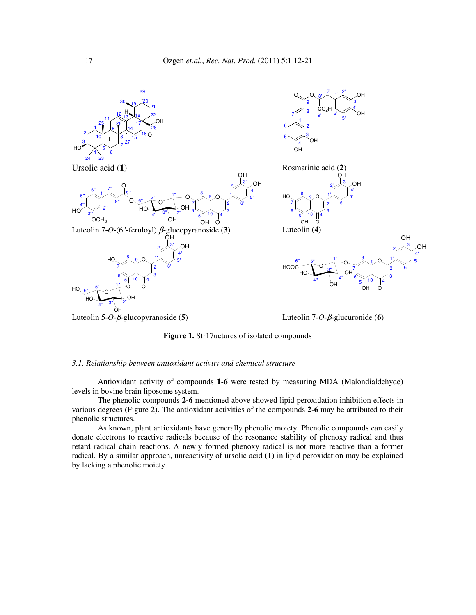

**Figure 1.** Str17uctures of isolated compounds

## *3.1. Relationship between antioxidant activity and chemical structure*

Antioxidant activity of compounds **1-6** were tested by measuring MDA (Malondialdehyde) levels in bovine brain liposome system.

The phenolic compounds **2-6** mentioned above showed lipid peroxidation inhibition effects in various degrees (Figure 2). The antioxidant activities of the compounds **2-6** may be attributed to their phenolic structures.

As known, plant antioxidants have generally phenolic moiety. Phenolic compounds can easily donate electrons to reactive radicals because of the resonance stability of phenoxy radical and thus retard radical chain reactions. A newly formed phenoxy radical is not more reactive than a former radical. By a similar approach, unreactivity of ursolic acid (**1**) in lipid peroxidation may be explained by lacking a phenolic moiety.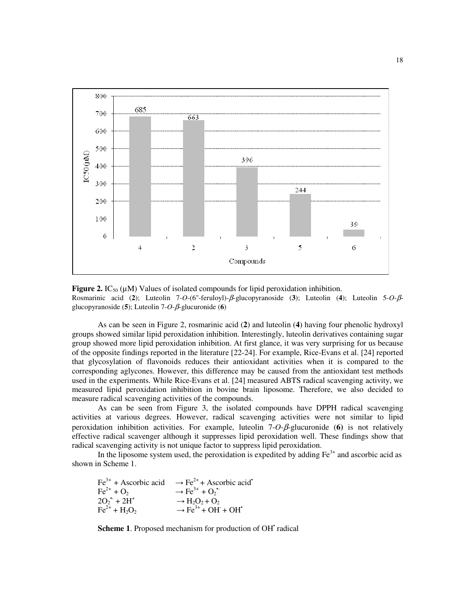

**Figure 2.** IC<sub>50</sub> ( $\mu$ M) Values of isolated compounds for lipid peroxidation inhibition. Rosmarinic acid (**2**); Luteolin 7-*O*-(6''-feruloyl)-β-glucopyranoside (**3**); Luteolin (**4**); Luteolin 5-*O*-βglucopyranoside (**5**); Luteolin 7-*O*-β-glucuronide (**6**)

As can be seen in Figure 2, rosmarinic acid (**2**) and luteolin (**4**) having four phenolic hydroxyl groups showed similar lipid peroxidation inhibition. Interestingly, luteolin derivatives containing sugar group showed more lipid peroxidation inhibition. At first glance, it was very surprising for us because of the opposite findings reported in the literature [22-24]. For example, Rice-Evans et al. [24] reported that glycosylation of flavonoids reduces their antioxidant activities when it is compared to the corresponding aglycones. However, this difference may be caused from the antioxidant test methods used in the experiments. While Rice-Evans et al. [24] measured ABTS radical scavenging activity, we measured lipid peroxidation inhibition in bovine brain liposome. Therefore, we also decided to measure radical scavenging activities of the compounds.

As can be seen from Figure 3, the isolated compounds have DPPH radical scavenging activities at various degrees. However, radical scavenging activities were not similar to lipid peroxidation inhibition activities. For example, luteolin 7-*O*-β-glucuronide (**6)** is not relatively effective radical scavenger although it suppresses lipid peroxidation well. These findings show that radical scavenging activity is not unique factor to suppress lipid peroxidation.

In the liposome system used, the peroxidation is expedited by adding  $Fe<sup>3+</sup>$  and ascorbic acid as shown in Scheme 1.

| $\text{Fe}^{3+}$ + Ascorbic acid | $\rightarrow$ Fe <sup>2+</sup> + Ascorbic acid <sup>*</sup>      |
|----------------------------------|------------------------------------------------------------------|
| $Fe^{2+} + O_2$                  | $\rightarrow$ Fe <sup>3+</sup> + O <sub>2</sub> <sup>*</sup>     |
| $2O_2$ <sup>+</sup> + $2H^+$     | $\rightarrow$ H <sub>2</sub> O <sub>2</sub> + O <sub>2</sub>     |
| $Fe^{2+} + H_2O_2$               | $\rightarrow$ Fe <sup>3+</sup> + OH <sup>+</sup> OH <sup>+</sup> |

Scheme 1. Proposed mechanism for production of OH<sup>+</sup> radical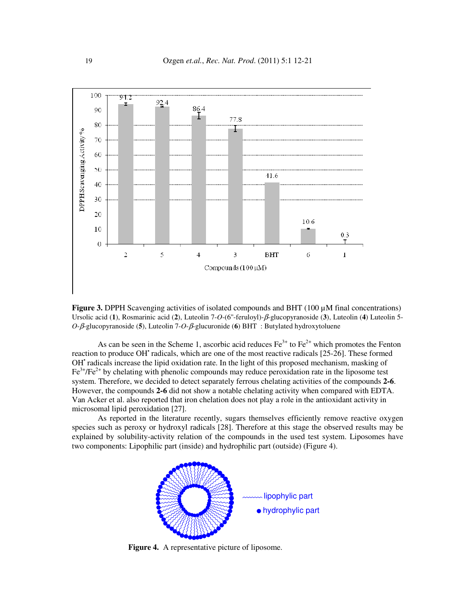

**Figure 3.** DPPH Scavenging activities of isolated compounds and BHT (100  $\mu$ M final concentrations) Ursolic acid (**1**), Rosmarinic acid (**2**), Luteolin 7-*O*-(6''-feruloyl)-β-glucopyranoside (**3**), Luteolin (**4**) Luteolin 5- *O*-β-glucopyranoside (**5**), Luteolin 7-*O*-β-glucuronide (**6**) BHT : Butylated hydroxytoluene

As can be seen in the Scheme 1, ascorbic acid reduces  $Fe<sup>3+</sup>$  to  $Fe<sup>2+</sup>$  which promotes the Fenton reaction to produce OH' radicals, which are one of the most reactive radicals [25-26]. These formed OH<sup>\*</sup> radicals increase the lipid oxidation rate. In the light of this proposed mechanism, masking of  $Fe<sup>3+</sup>/Fe<sup>2+</sup>$  by chelating with phenolic compounds may reduce peroxidation rate in the liposome test system. Therefore, we decided to detect separately ferrous chelating activities of the compounds **2-6**. However, the compounds **2-6** did not show a notable chelating activity when compared with EDTA. Van Acker et al. also reported that iron chelation does not play a role in the antioxidant activity in microsomal lipid peroxidation [27].

As reported in the literature recently, sugars themselves efficiently remove reactive oxygen species such as peroxy or hydroxyl radicals [28]. Therefore at this stage the observed results may be explained by solubility-activity relation of the compounds in the used test system. Liposomes have two components: Lipophilic part (inside) and hydrophilic part (outside) (Figure 4).



**Figure 4.** A representative picture of liposome.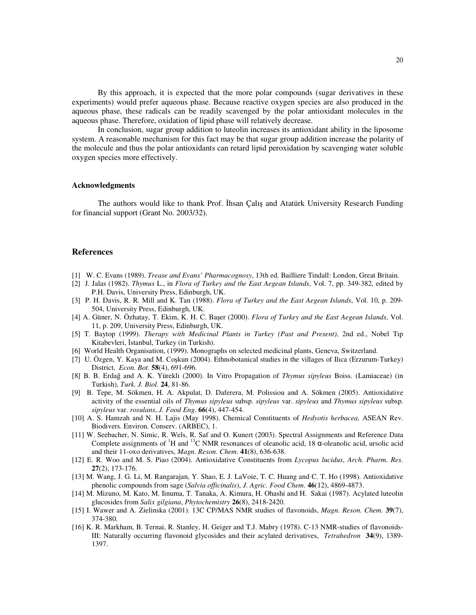By this approach, it is expected that the more polar compounds (sugar derivatives in these experiments) would prefer aqueous phase. Because reactive oxygen species are also produced in the aqueous phase, these radicals can be readily scavenged by the polar antioxidant molecules in the aqueous phase. Therefore, oxidation of lipid phase will relatively decrease.

 In conclusion, sugar group addition to luteolin increases its antioxidant ability in the liposome system. A reasonable mechanism for this fact may be that sugar group addition increase the polarity of the molecule and thus the polar antioxidants can retard lipid peroxidation by scavenging water soluble oxygen species more effectively.

#### **Acknowledgments**

The authors would like to thank Prof. İhsan Çalış and Atatürk University Research Funding for financial support (Grant No. 2003/32).

## **References**

- [1] W. C. Evans (1989). *Trease and Evans' Pharmacognosy*, 13th ed. Bailliere Tindall: London, Great Britain.
- [2] J. Jalas (1982). *Thymus* L., in *Flora of Turkey and the East Aegean Islands*, Vol. 7, pp. 349-382, edited by P.H. Davis, University Press, Edinburgh, UK.
- [3] P. H. Davis, R. R. Mill and K. Tan (1988). *Flora of Turkey and the East Aegean Islands*, Vol. 10, p. 209- 504, University Press, Edinburgh, UK.
- [4] A. Güner, N. Özhatay, T. Ekim, K. H. C. Başer (2000). *Flora of Turkey and the East Aegean Islands*, Vol. 11, p. 209, University Press, Edinburgh, UK.
- [5] T. Baytop (1999). *Therapy with Medicinal Plants in Turkey (Past and Present)*, 2nd ed., Nobel Tıp Kitabevleri, İstanbul, Turkey (in Turkish).
- [6] World Health Organisation, (1999). Monographs on selected medicinal plants, Geneva, Switzerland.
- [7] U. Özgen, Y. Kaya and M. Coşkun (2004). Ethnobotanical studies in the villages of Ilıca (Erzurum-Turkey) District, *Econ. Bot.* **58**(4), 691-696.
- [8] B. B. Erdağ and A. K. Yürekli (2000). In Vitro Propagation of *Thymus sipyleus* Boiss. (Lamiaceae) (in Turkish), *Turk. J. Biol.* **24**, 81-86.
- [9] B. Tepe, M. Sökmen, H. A. Akpulat, D. Daferera, M. Polissiou and A. Sökmen (2005). Antioxidative activity of the essential oils of *Thymus sipyleus* subsp. *sipyleus* var. *sipyleus* and *Thymus sipyleus* subsp. *sipyleus* var. *rosulans*, *J. Food Eng.* **66**(4), 447-454.
- [10] A. S. Hamzah and N. H. Lajis (May 1998). Chemical Constituents of *Hedyotis herbacea,* ASEAN Rev. Biodivers. Environ. Conserv. (ARBEC), 1.
- [11] W. Seebacher, N. Simic, R. Wels, R. Saf and O. Kunert (2003). Spectral Assignments and Reference Data Complete assignments of <sup>1</sup>H and <sup>13</sup>C NMR resonances of oleanolic acid, 18  $\alpha$ -oleanolic acid, ursolic acid and their 11-oxo derivatives, *Magn. Reson. Chem.* **41**(8), 636-638.
- [12] E. R. Woo and M. S. Piao (2004). Antioxidative Constituents from *Lycopus lucidus*, *Arch. Pharm. Res*. **27**(2), 173-176.
- [13] M. Wang, J. G. Li, M. Rangarajan, Y. Shao, E. J. LaVoie, T. C. Huang and C. T. Ho (1998). Antioxidative phenolic compounds from sage (*Salvia officinalis*), *J. Agric. Food Chem*. **46**(12), 4869-4873.
- [14] M. Mizuno, M. Kato, M. Iinuma, T. Tanaka, A. Kimura, H. Ohashi and H. Sakai (1987). Acylated luteolin glucosides from *Salix gilgiana*, *Phytochemistry* **26**(8), 2418-2420.
- [15] I. Wawer and A. Zielinska (2001). 13C CP/MAS NMR studies of flavonoids, *Magn. Reson. Chem.* **39**(7), 374-380.
- [16] K. R. Markham, B. Ternai, R. Stanley, H. Geiger and T.J. Mabry (1978). C-13 NMR-studies of flavonoids-III: Naturally occurring flavonoid glycosides and their acylated derivatives, *Tetrahedron* **34**(9), 1389- 1397.